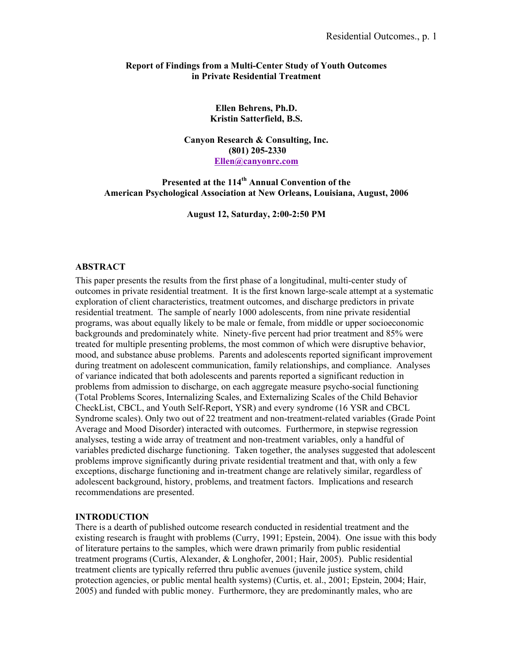### **Report of Findings from a Multi-Center Study of Youth Outcomes in Private Residential Treatment**

# **Ellen Behrens, Ph.D. Kristin Satterfield, B.S.**

**Canyon Research & Consulting, Inc. (801) 205-2330 Ellen@canyonrc.com**

**Presented at the 114th Annual Convention of the American Psychological Association at New Orleans, Louisiana, August, 2006** 

**August 12, Saturday, 2:00-2:50 PM** 

## **ABSTRACT**

This paper presents the results from the first phase of a longitudinal, multi-center study of outcomes in private residential treatment. It is the first known large-scale attempt at a systematic exploration of client characteristics, treatment outcomes, and discharge predictors in private residential treatment. The sample of nearly 1000 adolescents, from nine private residential programs, was about equally likely to be male or female, from middle or upper socioeconomic backgrounds and predominately white. Ninety-five percent had prior treatment and 85% were treated for multiple presenting problems, the most common of which were disruptive behavior, mood, and substance abuse problems. Parents and adolescents reported significant improvement during treatment on adolescent communication, family relationships, and compliance. Analyses of variance indicated that both adolescents and parents reported a significant reduction in problems from admission to discharge, on each aggregate measure psycho-social functioning (Total Problems Scores, Internalizing Scales, and Externalizing Scales of the Child Behavior CheckList, CBCL, and Youth Self-Report, YSR) and every syndrome (16 YSR and CBCL Syndrome scales). Only two out of 22 treatment and non-treatment-related variables (Grade Point Average and Mood Disorder) interacted with outcomes. Furthermore, in stepwise regression analyses, testing a wide array of treatment and non-treatment variables, only a handful of variables predicted discharge functioning. Taken together, the analyses suggested that adolescent problems improve significantly during private residential treatment and that, with only a few exceptions, discharge functioning and in-treatment change are relatively similar, regardless of adolescent background, history, problems, and treatment factors. Implications and research recommendations are presented.

### **INTRODUCTION**

There is a dearth of published outcome research conducted in residential treatment and the existing research is fraught with problems (Curry, 1991; Epstein, 2004). One issue with this body of literature pertains to the samples, which were drawn primarily from public residential treatment programs (Curtis, Alexander, & Longhofer, 2001; Hair, 2005). Public residential treatment clients are typically referred thru public avenues (juvenile justice system, child protection agencies, or public mental health systems) (Curtis, et. al., 2001; Epstein, 2004; Hair, 2005) and funded with public money. Furthermore, they are predominantly males, who are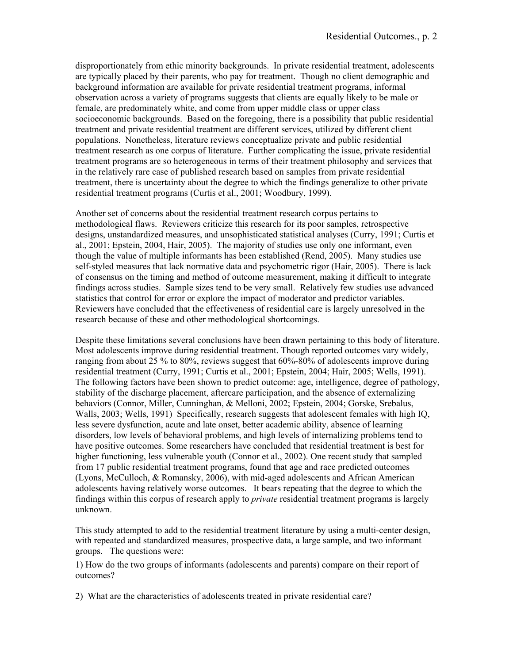disproportionately from ethic minority backgrounds. In private residential treatment, adolescents are typically placed by their parents, who pay for treatment. Though no client demographic and background information are available for private residential treatment programs, informal observation across a variety of programs suggests that clients are equally likely to be male or female, are predominately white, and come from upper middle class or upper class socioeconomic backgrounds. Based on the foregoing, there is a possibility that public residential treatment and private residential treatment are different services, utilized by different client populations. Nonetheless, literature reviews conceptualize private and public residential treatment research as one corpus of literature. Further complicating the issue, private residential treatment programs are so heterogeneous in terms of their treatment philosophy and services that in the relatively rare case of published research based on samples from private residential treatment, there is uncertainty about the degree to which the findings generalize to other private residential treatment programs (Curtis et al., 2001; Woodbury, 1999).

Another set of concerns about the residential treatment research corpus pertains to methodological flaws. Reviewers criticize this research for its poor samples, retrospective designs, unstandardized measures, and unsophisticated statistical analyses (Curry, 1991; Curtis et al., 2001; Epstein, 2004, Hair, 2005). The majority of studies use only one informant, even though the value of multiple informants has been established (Rend, 2005). Many studies use self-styled measures that lack normative data and psychometric rigor (Hair, 2005). There is lack of consensus on the timing and method of outcome measurement, making it difficult to integrate findings across studies. Sample sizes tend to be very small. Relatively few studies use advanced statistics that control for error or explore the impact of moderator and predictor variables. Reviewers have concluded that the effectiveness of residential care is largely unresolved in the research because of these and other methodological shortcomings.

Despite these limitations several conclusions have been drawn pertaining to this body of literature. Most adolescents improve during residential treatment. Though reported outcomes vary widely, ranging from about 25 % to 80%, reviews suggest that 60%-80% of adolescents improve during residential treatment (Curry, 1991; Curtis et al., 2001; Epstein, 2004; Hair, 2005; Wells, 1991). The following factors have been shown to predict outcome: age, intelligence, degree of pathology, stability of the discharge placement, aftercare participation, and the absence of externalizing behaviors (Connor, Miller, Cunninghan, & Melloni, 2002; Epstein, 2004; Gorske, Srebalus, Walls, 2003; Wells, 1991) Specifically, research suggests that adolescent females with high IQ, less severe dysfunction, acute and late onset, better academic ability, absence of learning disorders, low levels of behavioral problems, and high levels of internalizing problems tend to have positive outcomes. Some researchers have concluded that residential treatment is best for higher functioning, less vulnerable youth (Connor et al., 2002). One recent study that sampled from 17 public residential treatment programs, found that age and race predicted outcomes (Lyons, McCulloch, & Romansky, 2006), with mid-aged adolescents and African American adolescents having relatively worse outcomes. It bears repeating that the degree to which the findings within this corpus of research apply to *private* residential treatment programs is largely unknown.

This study attempted to add to the residential treatment literature by using a multi-center design, with repeated and standardized measures, prospective data, a large sample, and two informant groups. The questions were:

1) How do the two groups of informants (adolescents and parents) compare on their report of outcomes?

2) What are the characteristics of adolescents treated in private residential care?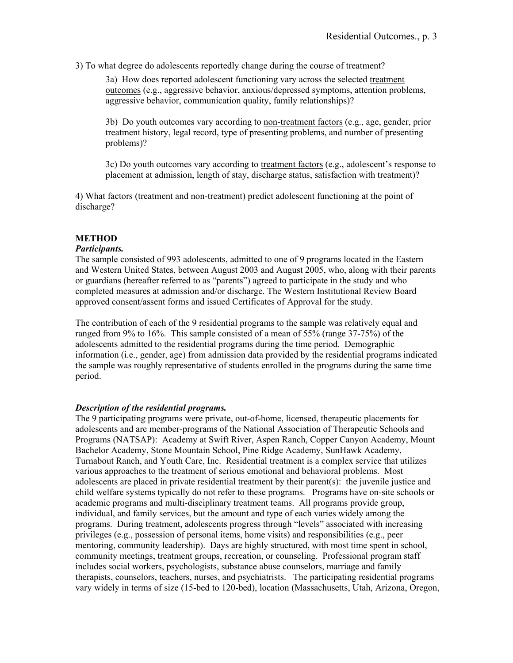3) To what degree do adolescents reportedly change during the course of treatment?

3a) How does reported adolescent functioning vary across the selected treatment outcomes (e.g., aggressive behavior, anxious/depressed symptoms, attention problems, aggressive behavior, communication quality, family relationships)?

3b) Do youth outcomes vary according to non-treatment factors (e.g., age, gender, prior treatment history, legal record, type of presenting problems, and number of presenting problems)?

3c) Do youth outcomes vary according to treatment factors (e.g., adolescent's response to placement at admission, length of stay, discharge status, satisfaction with treatment)?

4) What factors (treatment and non-treatment) predict adolescent functioning at the point of discharge?

# **METHOD**

# *Participants.*

The sample consisted of 993 adolescents, admitted to one of 9 programs located in the Eastern and Western United States, between August 2003 and August 2005, who, along with their parents or guardians (hereafter referred to as "parents") agreed to participate in the study and who completed measures at admission and/or discharge. The Western Institutional Review Board approved consent/assent forms and issued Certificates of Approval for the study.

The contribution of each of the 9 residential programs to the sample was relatively equal and ranged from 9% to 16%. This sample consisted of a mean of 55% (range 37-75%) of the adolescents admitted to the residential programs during the time period. Demographic information (i.e., gender, age) from admission data provided by the residential programs indicated the sample was roughly representative of students enrolled in the programs during the same time period.

# *Description of the residential programs.*

The 9 participating programs were private, out-of-home, licensed, therapeutic placements for adolescents and are member-programs of the National Association of Therapeutic Schools and Programs (NATSAP): Academy at Swift River, Aspen Ranch, Copper Canyon Academy, Mount Bachelor Academy, Stone Mountain School, Pine Ridge Academy, SunHawk Academy, Turnabout Ranch, and Youth Care, Inc. Residential treatment is a complex service that utilizes various approaches to the treatment of serious emotional and behavioral problems. Most adolescents are placed in private residential treatment by their parent(s): the juvenile justice and child welfare systems typically do not refer to these programs. Programs have on-site schools or academic programs and multi-disciplinary treatment teams. All programs provide group, individual, and family services, but the amount and type of each varies widely among the programs. During treatment, adolescents progress through "levels" associated with increasing privileges (e.g., possession of personal items, home visits) and responsibilities (e.g., peer mentoring, community leadership). Days are highly structured, with most time spent in school, community meetings, treatment groups, recreation, or counseling. Professional program staff includes social workers, psychologists, substance abuse counselors, marriage and family therapists, counselors, teachers, nurses, and psychiatrists. The participating residential programs vary widely in terms of size (15-bed to 120-bed), location (Massachusetts, Utah, Arizona, Oregon,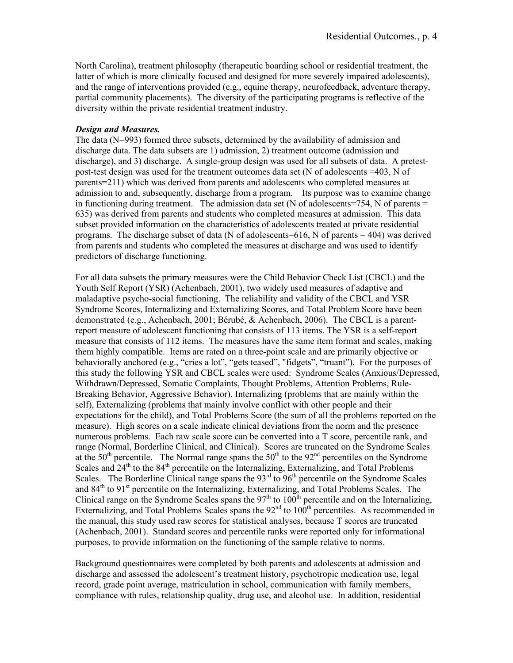North Carolina), treatment philosophy (therapeutic boarding school or residential treatment, the latter of which is more clinically focused and designed for more severely impaired adolescents), and the range of interventions provided (e.g., equine therapy, neurofeedback, adventure therapy, partial community placements). The diversity of the participating programs is reflective of the diversity within the private residential treatment industry.

# *Design and Measures.*

The data (N=993) formed three subsets, determined by the availability of admission and discharge data. The data subsets are 1) admission, 2) treatment outcome (admission and discharge), and 3) discharge. A single-group design was used for all subsets of data. A pretestpost-test design was used for the treatment outcomes data set (N of adolescents =403, N of parents=211) which was derived from parents and adolescents who completed measures at admission to and, subsequently, discharge from a program. Its purpose was to examine change in functioning during treatment. The admission data set (N of adolescents=754, N of parents  $=$ 635) was derived from parents and students who completed measures at admission. This data subset provided information on the characteristics of adolescents treated at private residential programs. The discharge subset of data (N of adolescents=616, N of parents = 404) was derived from parents and students who completed the measures at discharge and was used to identify predictors of discharge functioning.

For all data subsets the primary measures were the Child Behavior Check List (CBCL) and the Youth Self Report (YSR) (Achenbach, 2001), two widely used measures of adaptive and maladaptive psycho-social functioning. The reliability and validity of the CBCL and YSR Syndrome Scores, Internalizing and Externalizing Scores, and Total Problem Score have been demonstrated (e.g., Achenbach, 2001; Bérubé, & Achenbach, 2006). The CBCL is a parentreport measure of adolescent functioning that consists of 113 items. The YSR is a self-report measure that consists of 112 items. The measures have the same item format and scales, making them highly compatible. Items are rated on a three-point scale and are primarily objective or behaviorally anchored (e.g., "cries a lot", "gets teased", "fidgets", "truant"). For the purposes of this study the following YSR and CBCL scales were used: Syndrome Scales (Anxious/Depressed, Withdrawn/Depressed, Somatic Complaints, Thought Problems, Attention Problems, Rule-Breaking Behavior, Aggressive Behavior), Internalizing (problems that are mainly within the self), Externalizing (problems that mainly involve conflict with other people and their expectations for the child), and Total Problems Score (the sum of all the problems reported on the measure). High scores on a scale indicate clinical deviations from the norm and the presence numerous problems. Each raw scale score can be converted into a T score, percentile rank, and range (Normal, Borderline Clinical, and Clinical). Scores are truncated on the Syndrome Scales at the  $50<sup>th</sup>$  percentile. The Normal range spans the  $50<sup>th</sup>$  to the 92<sup>nd</sup> percentiles on the Syndrome Scales and  $24<sup>th</sup>$  to the  $84<sup>th</sup>$  percentile on the Internalizing, Externalizing, and Total Problems Scales. The Borderline Clinical range spans the  $93<sup>rd</sup>$  to  $96<sup>th</sup>$  percentile on the Syndrome Scales and 84<sup>th</sup> to 91<sup>st</sup> percentile on the Internalizing, Externalizing, and Total Problems Scales. The Clinical range on the Syndrome Scales spans the  $97<sup>th</sup>$  to  $100<sup>th</sup>$  percentile and on the Internalizing, Externalizing, and Total Problems Scales spans the  $92<sup>nd</sup>$  to  $10<sup>0<sup>th</sup></sup>$  percentiles. As recommended in the manual, this study used raw scores for statistical analyses, because T scores are truncated (Achenbach, 2001). Standard scores and percentile ranks were reported only for informational purposes, to provide information on the functioning of the sample relative to norms.

Background questionnaires were completed by both parents and adolescents at admission and discharge and assessed the adolescent's treatment history, psychotropic medication use, legal record, grade point average, matriculation in school, communication with family members, compliance with rules, relationship quality, drug use, and alcohol use. In addition, residential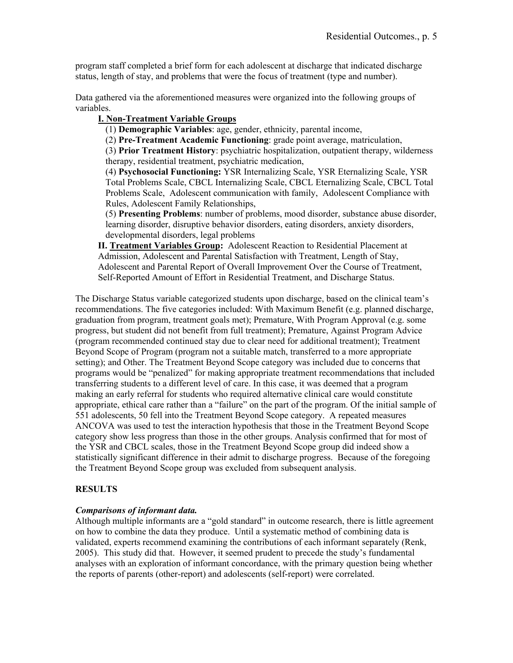program staff completed a brief form for each adolescent at discharge that indicated discharge status, length of stay, and problems that were the focus of treatment (type and number).

Data gathered via the aforementioned measures were organized into the following groups of variables.

# **I. Non-Treatment Variable Groups**

(1) **Demographic Variables**: age, gender, ethnicity, parental income,

(2) **Pre-Treatment Academic Functioning**: grade point average, matriculation,

(3) **Prior Treatment History**: psychiatric hospitalization, outpatient therapy, wilderness therapy, residential treatment, psychiatric medication,

(4) **Psychosocial Functioning:** YSR Internalizing Scale, YSR Eternalizing Scale, YSR Total Problems Scale, CBCL Internalizing Scale, CBCL Eternalizing Scale, CBCL Total Problems Scale, Adolescent communication with family, Adolescent Compliance with Rules, Adolescent Family Relationships,

(5) **Presenting Problems**: number of problems, mood disorder, substance abuse disorder, learning disorder, disruptive behavior disorders, eating disorders, anxiety disorders, developmental disorders, legal problems

**II. Treatment Variables Group:** Adolescent Reaction to Residential Placement at Admission, Adolescent and Parental Satisfaction with Treatment, Length of Stay, Adolescent and Parental Report of Overall Improvement Over the Course of Treatment, Self-Reported Amount of Effort in Residential Treatment, and Discharge Status.

The Discharge Status variable categorized students upon discharge, based on the clinical team's recommendations. The five categories included: With Maximum Benefit (e.g. planned discharge, graduation from program, treatment goals met); Premature, With Program Approval (e.g. some progress, but student did not benefit from full treatment); Premature, Against Program Advice (program recommended continued stay due to clear need for additional treatment); Treatment Beyond Scope of Program (program not a suitable match, transferred to a more appropriate setting); and Other. The Treatment Beyond Scope category was included due to concerns that programs would be "penalized" for making appropriate treatment recommendations that included transferring students to a different level of care. In this case, it was deemed that a program making an early referral for students who required alternative clinical care would constitute appropriate, ethical care rather than a "failure" on the part of the program. Of the initial sample of 551 adolescents, 50 fell into the Treatment Beyond Scope category. A repeated measures ANCOVA was used to test the interaction hypothesis that those in the Treatment Beyond Scope category show less progress than those in the other groups. Analysis confirmed that for most of the YSR and CBCL scales, those in the Treatment Beyond Scope group did indeed show a statistically significant difference in their admit to discharge progress. Because of the foregoing the Treatment Beyond Scope group was excluded from subsequent analysis.

# **RESULTS**

# *Comparisons of informant data.*

Although multiple informants are a "gold standard" in outcome research, there is little agreement on how to combine the data they produce. Until a systematic method of combining data is validated, experts recommend examining the contributions of each informant separately (Renk, 2005). This study did that. However, it seemed prudent to precede the study's fundamental analyses with an exploration of informant concordance, with the primary question being whether the reports of parents (other-report) and adolescents (self-report) were correlated.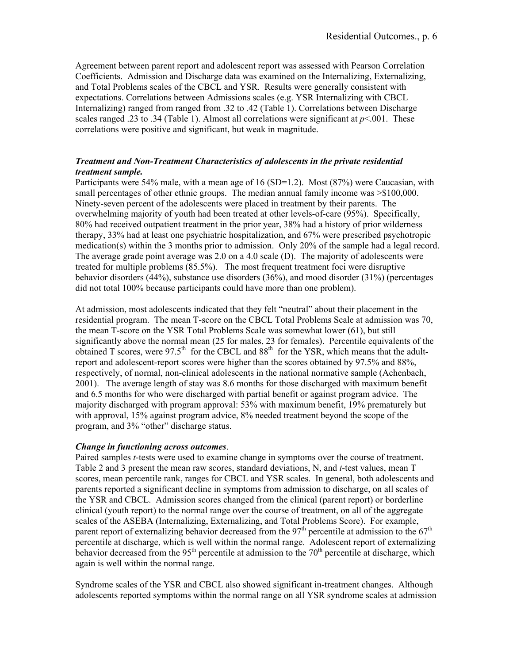Agreement between parent report and adolescent report was assessed with Pearson Correlation Coefficients. Admission and Discharge data was examined on the Internalizing, Externalizing, and Total Problems scales of the CBCL and YSR. Results were generally consistent with expectations. Correlations between Admissions scales (e.g. YSR Internalizing with CBCL Internalizing) ranged from ranged from .32 to .42 (Table 1). Correlations between Discharge scales ranged .23 to .34 (Table 1). Almost all correlations were significant at  $p$ <.001. These correlations were positive and significant, but weak in magnitude.

# *Treatment and Non-Treatment Characteristics of adolescents in the private residential treatment sample.*

Participants were 54% male, with a mean age of 16 (SD=1.2). Most (87%) were Caucasian, with small percentages of other ethnic groups. The median annual family income was  $\geq$ \$100,000. Ninety-seven percent of the adolescents were placed in treatment by their parents. The overwhelming majority of youth had been treated at other levels-of-care (95%). Specifically, 80% had received outpatient treatment in the prior year, 38% had a history of prior wilderness therapy, 33% had at least one psychiatric hospitalization, and 67% were prescribed psychotropic medication(s) within the 3 months prior to admission. Only 20% of the sample had a legal record. The average grade point average was 2.0 on a 4.0 scale (D). The majority of adolescents were treated for multiple problems (85.5%). The most frequent treatment foci were disruptive behavior disorders (44%), substance use disorders (36%), and mood disorder (31%) (percentages did not total 100% because participants could have more than one problem).

At admission, most adolescents indicated that they felt "neutral" about their placement in the residential program. The mean T-score on the CBCL Total Problems Scale at admission was 70, the mean T-score on the YSR Total Problems Scale was somewhat lower (61), but still significantly above the normal mean (25 for males, 23 for females). Percentile equivalents of the obtained T scores, were 97.5<sup>th</sup> for the CBCL and  $88<sup>th</sup>$  for the YSR, which means that the adultreport and adolescent-report scores were higher than the scores obtained by 97.5% and 88%, respectively, of normal, non-clinical adolescents in the national normative sample (Achenbach, 2001). The average length of stay was 8.6 months for those discharged with maximum benefit and 6.5 months for who were discharged with partial benefit or against program advice. The majority discharged with program approval: 53% with maximum benefit, 19% prematurely but with approval, 15% against program advice, 8% needed treatment beyond the scope of the program, and 3% "other" discharge status.

# *Change in functioning across outcomes*.

Paired samples *t*-tests were used to examine change in symptoms over the course of treatment. Table 2 and 3 present the mean raw scores, standard deviations, N, and *t*-test values, mean T scores, mean percentile rank, ranges for CBCL and YSR scales. In general, both adolescents and parents reported a significant decline in symptoms from admission to discharge, on all scales of the YSR and CBCL. Admission scores changed from the clinical (parent report) or borderline clinical (youth report) to the normal range over the course of treatment, on all of the aggregate scales of the ASEBA (Internalizing, Externalizing, and Total Problems Score). For example, parent report of externalizing behavior decreased from the  $97<sup>th</sup>$  percentile at admission to the  $67<sup>th</sup>$ percentile at discharge, which is well within the normal range. Adolescent report of externalizing behavior decreased from the 95<sup>th</sup> percentile at admission to the 70<sup>th</sup> percentile at discharge, which again is well within the normal range.

Syndrome scales of the YSR and CBCL also showed significant in-treatment changes. Although adolescents reported symptoms within the normal range on all YSR syndrome scales at admission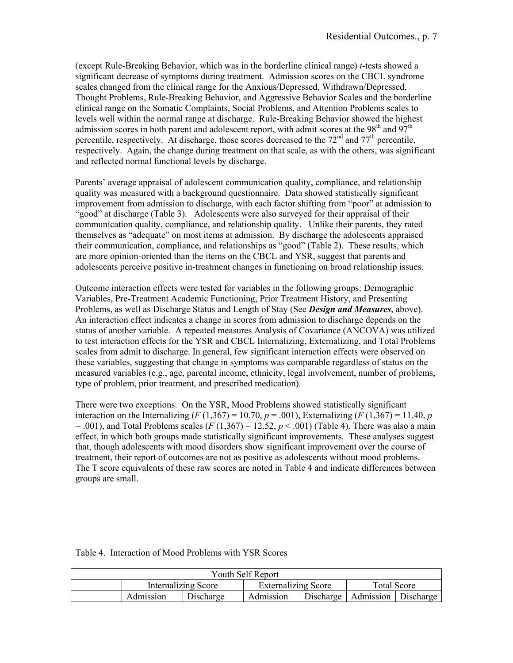(except Rule-Breaking Behavior, which was in the borderline clinical range) *t*-tests showed a significant decrease of symptoms during treatment. Admission scores on the CBCL syndrome scales changed from the clinical range for the Anxious/Depressed, Withdrawn/Depressed, Thought Problems, Rule-Breaking Behavior, and Aggressive Behavior Scales and the borderline clinical range on the Somatic Complaints, Social Problems, and Attention Problems scales to levels well within the normal range at discharge. Rule-Breaking Behavior showed the highest admission scores in both parent and adolescent report, with admit scores at the  $98<sup>th</sup>$  and  $97<sup>th</sup>$ percentile, respectively. At discharge, those scores decreased to the  $72<sup>nd</sup>$  and  $77<sup>th</sup>$  percentile, respectively. Again, the change during treatment on that scale, as with the others, was significant and reflected normal functional levels by discharge.

Parents' average appraisal of adolescent communication quality, compliance, and relationship quality was measured with a background questionnaire. Data showed statistically significant improvement from admission to discharge, with each factor shifting from "poor" at admission to "good" at discharge (Table 3). Adolescents were also surveyed for their appraisal of their communication quality, compliance, and relationship quality. Unlike their parents, they rated themselves as "adequate" on most items at admission. By discharge the adolescents appraised their communication, compliance, and relationships as "good" (Table 2). These results, which are more opinion-oriented than the items on the CBCL and YSR, suggest that parents and adolescents perceive positive in-treatment changes in functioning on broad relationship issues.

Outcome interaction effects were tested for variables in the following groups: Demographic Variables, Pre-Treatment Academic Functioning, Prior Treatment History, and Presenting Problems, as well as Discharge Status and Length of Stay (See *Design and Measures*, above). An interaction effect indicates a change in scores from admission to discharge depends on the status of another variable. A repeated measures Analysis of Covariance (ANCOVA) was utilized to test interaction effects for the YSR and CBCL Internalizing, Externalizing, and Total Problems scales from admit to discharge. In general, few significant interaction effects were observed on these variables, suggesting that change in symptoms was comparable regardless of status on the measured variables (e.g., age, parental income, ethnicity, legal involvement, number of problems, type of problem, prior treatment, and prescribed medication).

There were two exceptions. On the YSR, Mood Problems showed statistically significant interaction on the Internalizing (*F* (1,367) = 10.70, *p* = .001), Externalizing (*F* (1,367) = 11.40, *p*  $= 0.001$ ), and Total Problems scales (*F* (1,367) = 12.52, *p* < .001) (Table 4). There was also a main effect, in which both groups made statistically significant improvements. These analyses suggest that, though adolescents with mood disorders show significant improvement over the course of treatment, their report of outcomes are not as positive as adolescents without mood problems. The T score equivalents of these raw scores are noted in Table 4 and indicate differences between groups are small.

|           |                            | Youth Self Report          |           |             |           |  |
|-----------|----------------------------|----------------------------|-----------|-------------|-----------|--|
|           | <b>Internalizing Score</b> | <b>Externalizing Score</b> |           | Total Score |           |  |
| Admission | Discharge                  | Admission                  | Discharge | Admission   | Discharge |  |

Table 4. Interaction of Mood Problems with YSR Scores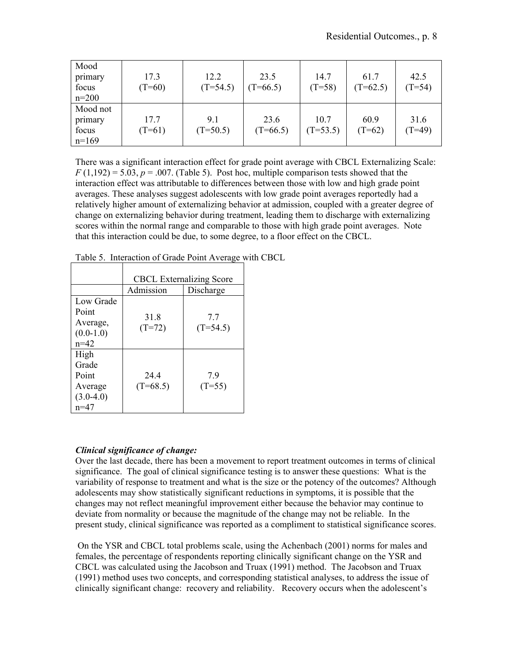| Mood<br>primary<br>focus<br>$n=200$     | 17.3<br>$(T=60)$ | 12.2<br>$(T=54.5)$ | 23.5<br>$(T=66.5)$ | 14.7<br>$(T=58)$   | 61.7<br>$(T=62.5)$ | 42.5<br>$(T=54)$ |
|-----------------------------------------|------------------|--------------------|--------------------|--------------------|--------------------|------------------|
| Mood not<br>primary<br>focus<br>$n=169$ | 17.7<br>$(T=61)$ | 9.1<br>$(T=50.5)$  | 23.6<br>$(T=66.5)$ | 10.7<br>$(T=53.5)$ | 60.9<br>$(T=62)$   | 31.6<br>$(T=49)$ |

There was a significant interaction effect for grade point average with CBCL Externalizing Scale:  $F(1,192) = 5.03$ ,  $p = .007$ . (Table 5). Post hoc, multiple comparison tests showed that the interaction effect was attributable to differences between those with low and high grade point averages. These analyses suggest adolescents with low grade point averages reportedly had a relatively higher amount of externalizing behavior at admission, coupled with a greater degree of change on externalizing behavior during treatment, leading them to discharge with externalizing scores within the normal range and comparable to those with high grade point averages. Note that this interaction could be due, to some degree, to a floor effect on the CBCL.

|                                                              |                   | <b>CBCL</b> Externalizing Score |
|--------------------------------------------------------------|-------------------|---------------------------------|
|                                                              | Admission         | Discharge                       |
| Low Grade<br>Point<br>Average,<br>$(0.0-1.0)$<br>$n=42$      | 31.8<br>$(T=72)$  | 7.7<br>$(T=54.5)$               |
| High<br>Grade<br>Point<br>Average<br>$(3.0-4.0)$<br>$n = 47$ | 244<br>$(T=68.5)$ | 7.9<br>$(T=55)$                 |

Table 5. Interaction of Grade Point Average with CBCL

# *Clinical significance of change:*

Over the last decade, there has been a movement to report treatment outcomes in terms of clinical significance. The goal of clinical significance testing is to answer these questions: What is the variability of response to treatment and what is the size or the potency of the outcomes? Although adolescents may show statistically significant reductions in symptoms, it is possible that the changes may not reflect meaningful improvement either because the behavior may continue to deviate from normality or because the magnitude of the change may not be reliable. In the present study, clinical significance was reported as a compliment to statistical significance scores.

 On the YSR and CBCL total problems scale, using the Achenbach (2001) norms for males and females, the percentage of respondents reporting clinically significant change on the YSR and CBCL was calculated using the Jacobson and Truax (1991) method. The Jacobson and Truax (1991) method uses two concepts, and corresponding statistical analyses, to address the issue of clinically significant change: recovery and reliability. Recovery occurs when the adolescent's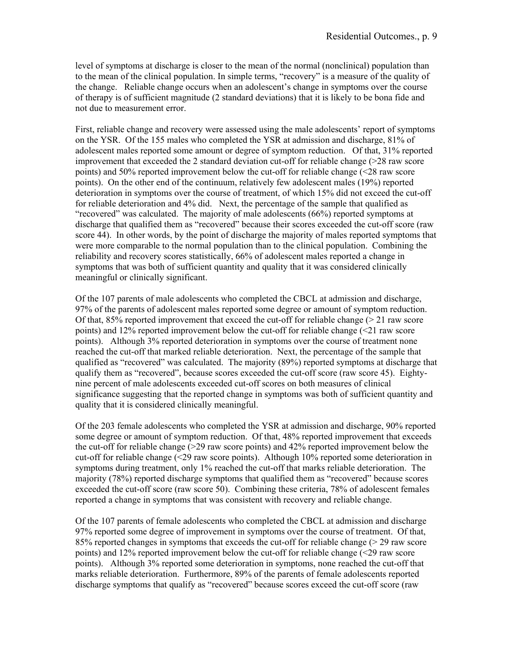level of symptoms at discharge is closer to the mean of the normal (nonclinical) population than to the mean of the clinical population. In simple terms, "recovery" is a measure of the quality of the change. Reliable change occurs when an adolescent's change in symptoms over the course of therapy is of sufficient magnitude (2 standard deviations) that it is likely to be bona fide and not due to measurement error.

First, reliable change and recovery were assessed using the male adolescents' report of symptoms on the YSR. Of the 155 males who completed the YSR at admission and discharge, 81% of adolescent males reported some amount or degree of symptom reduction. Of that, 31% reported improvement that exceeded the 2 standard deviation cut-off for reliable change  $(>28$  raw score points) and 50% reported improvement below the cut-off for reliable change (<28 raw score points). On the other end of the continuum, relatively few adolescent males (19%) reported deterioration in symptoms over the course of treatment, of which 15% did not exceed the cut-off for reliable deterioration and 4% did. Next, the percentage of the sample that qualified as "recovered" was calculated. The majority of male adolescents (66%) reported symptoms at discharge that qualified them as "recovered" because their scores exceeded the cut-off score (raw score 44). In other words, by the point of discharge the majority of males reported symptoms that were more comparable to the normal population than to the clinical population. Combining the reliability and recovery scores statistically, 66% of adolescent males reported a change in symptoms that was both of sufficient quantity and quality that it was considered clinically meaningful or clinically significant.

Of the 107 parents of male adolescents who completed the CBCL at admission and discharge, 97% of the parents of adolescent males reported some degree or amount of symptom reduction. Of that,  $85\%$  reported improvement that exceed the cut-off for reliable change ( $> 21$  raw score points) and 12% reported improvement below the cut-off for reliable change (<21 raw score points). Although 3% reported deterioration in symptoms over the course of treatment none reached the cut-off that marked reliable deterioration. Next, the percentage of the sample that qualified as "recovered" was calculated. The majority (89%) reported symptoms at discharge that qualify them as "recovered", because scores exceeded the cut-off score (raw score 45). Eightynine percent of male adolescents exceeded cut-off scores on both measures of clinical significance suggesting that the reported change in symptoms was both of sufficient quantity and quality that it is considered clinically meaningful.

Of the 203 female adolescents who completed the YSR at admission and discharge, 90% reported some degree or amount of symptom reduction. Of that, 48% reported improvement that exceeds the cut-off for reliable change (>29 raw score points) and 42% reported improvement below the cut-off for reliable change (<29 raw score points). Although 10% reported some deterioration in symptoms during treatment, only 1% reached the cut-off that marks reliable deterioration. The majority (78%) reported discharge symptoms that qualified them as "recovered" because scores exceeded the cut-off score (raw score 50). Combining these criteria, 78% of adolescent females reported a change in symptoms that was consistent with recovery and reliable change.

Of the 107 parents of female adolescents who completed the CBCL at admission and discharge 97% reported some degree of improvement in symptoms over the course of treatment. Of that, 85% reported changes in symptoms that exceeds the cut-off for reliable change (> 29 raw score points) and 12% reported improvement below the cut-off for reliable change (<29 raw score points). Although 3% reported some deterioration in symptoms, none reached the cut-off that marks reliable deterioration. Furthermore, 89% of the parents of female adolescents reported discharge symptoms that qualify as "recovered" because scores exceed the cut-off score (raw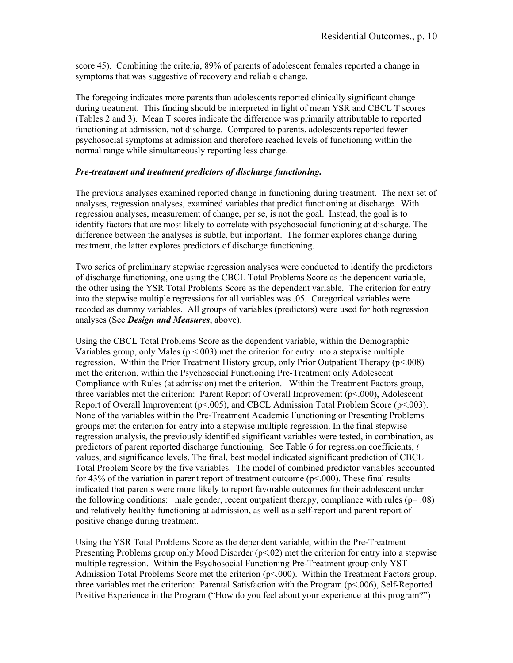score 45). Combining the criteria, 89% of parents of adolescent females reported a change in symptoms that was suggestive of recovery and reliable change.

The foregoing indicates more parents than adolescents reported clinically significant change during treatment. This finding should be interpreted in light of mean YSR and CBCL T scores (Tables 2 and 3). Mean T scores indicate the difference was primarily attributable to reported functioning at admission, not discharge. Compared to parents, adolescents reported fewer psychosocial symptoms at admission and therefore reached levels of functioning within the normal range while simultaneously reporting less change.

# *Pre-treatment and treatment predictors of discharge functioning.*

The previous analyses examined reported change in functioning during treatment. The next set of analyses, regression analyses, examined variables that predict functioning at discharge. With regression analyses, measurement of change, per se, is not the goal. Instead, the goal is to identify factors that are most likely to correlate with psychosocial functioning at discharge. The difference between the analyses is subtle, but important. The former explores change during treatment, the latter explores predictors of discharge functioning.

Two series of preliminary stepwise regression analyses were conducted to identify the predictors of discharge functioning, one using the CBCL Total Problems Score as the dependent variable, the other using the YSR Total Problems Score as the dependent variable. The criterion for entry into the stepwise multiple regressions for all variables was .05. Categorical variables were recoded as dummy variables. All groups of variables (predictors) were used for both regression analyses (See *Design and Measures*, above).

Using the CBCL Total Problems Score as the dependent variable, within the Demographic Variables group, only Males ( $p \le 0.003$ ) met the criterion for entry into a stepwise multiple regression. Within the Prior Treatment History group, only Prior Outpatient Therapy (p<.008) met the criterion, within the Psychosocial Functioning Pre-Treatment only Adolescent Compliance with Rules (at admission) met the criterion. Within the Treatment Factors group, three variables met the criterion: Parent Report of Overall Improvement (p<.000), Adolescent Report of Overall Improvement ( $p<005$ ), and CBCL Admission Total Problem Score ( $p<003$ ). None of the variables within the Pre-Treatment Academic Functioning or Presenting Problems groups met the criterion for entry into a stepwise multiple regression. In the final stepwise regression analysis, the previously identified significant variables were tested, in combination, as predictors of parent reported discharge functioning. See Table 6 for regression coefficients, *t* values, and significance levels. The final, best model indicated significant prediction of CBCL Total Problem Score by the five variables. The model of combined predictor variables accounted for 43% of the variation in parent report of treatment outcome ( $p<.000$ ). These final results indicated that parents were more likely to report favorable outcomes for their adolescent under the following conditions: male gender, recent outpatient therapy, compliance with rules ( $p=0.08$ ) and relatively healthy functioning at admission, as well as a self-report and parent report of positive change during treatment.

Using the YSR Total Problems Score as the dependent variable, within the Pre-Treatment Presenting Problems group only Mood Disorder (p<.02) met the criterion for entry into a stepwise multiple regression. Within the Psychosocial Functioning Pre-Treatment group only YST Admission Total Problems Score met the criterion  $(p<.000)$ . Within the Treatment Factors group, three variables met the criterion: Parental Satisfaction with the Program (p<.006), Self-Reported Positive Experience in the Program ("How do you feel about your experience at this program?")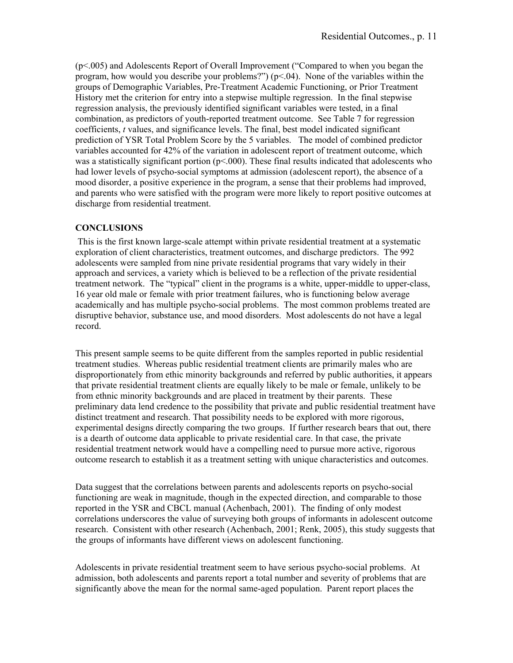(p<.005) and Adolescents Report of Overall Improvement ("Compared to when you began the program, how would you describe your problems?") (p<.04). None of the variables within the groups of Demographic Variables, Pre-Treatment Academic Functioning, or Prior Treatment History met the criterion for entry into a stepwise multiple regression. In the final stepwise regression analysis, the previously identified significant variables were tested, in a final combination, as predictors of youth-reported treatment outcome. See Table 7 for regression coefficients, *t* values, and significance levels. The final, best model indicated significant prediction of YSR Total Problem Score by the 5 variables. The model of combined predictor variables accounted for 42% of the variation in adolescent report of treatment outcome, which was a statistically significant portion ( $p<000$ ). These final results indicated that adolescents who had lower levels of psycho-social symptoms at admission (adolescent report), the absence of a mood disorder, a positive experience in the program, a sense that their problems had improved, and parents who were satisfied with the program were more likely to report positive outcomes at discharge from residential treatment.

# **CONCLUSIONS**

 This is the first known large-scale attempt within private residential treatment at a systematic exploration of client characteristics, treatment outcomes, and discharge predictors. The 992 adolescents were sampled from nine private residential programs that vary widely in their approach and services, a variety which is believed to be a reflection of the private residential treatment network. The "typical" client in the programs is a white, upper-middle to upper-class, 16 year old male or female with prior treatment failures, who is functioning below average academically and has multiple psycho-social problems. The most common problems treated are disruptive behavior, substance use, and mood disorders. Most adolescents do not have a legal record.

This present sample seems to be quite different from the samples reported in public residential treatment studies. Whereas public residential treatment clients are primarily males who are disproportionately from ethic minority backgrounds and referred by public authorities, it appears that private residential treatment clients are equally likely to be male or female, unlikely to be from ethnic minority backgrounds and are placed in treatment by their parents. These preliminary data lend credence to the possibility that private and public residential treatment have distinct treatment and research. That possibility needs to be explored with more rigorous, experimental designs directly comparing the two groups. If further research bears that out, there is a dearth of outcome data applicable to private residential care. In that case, the private residential treatment network would have a compelling need to pursue more active, rigorous outcome research to establish it as a treatment setting with unique characteristics and outcomes.

Data suggest that the correlations between parents and adolescents reports on psycho-social functioning are weak in magnitude, though in the expected direction, and comparable to those reported in the YSR and CBCL manual (Achenbach, 2001). The finding of only modest correlations underscores the value of surveying both groups of informants in adolescent outcome research. Consistent with other research (Achenbach, 2001; Renk, 2005), this study suggests that the groups of informants have different views on adolescent functioning.

Adolescents in private residential treatment seem to have serious psycho-social problems. At admission, both adolescents and parents report a total number and severity of problems that are significantly above the mean for the normal same-aged population. Parent report places the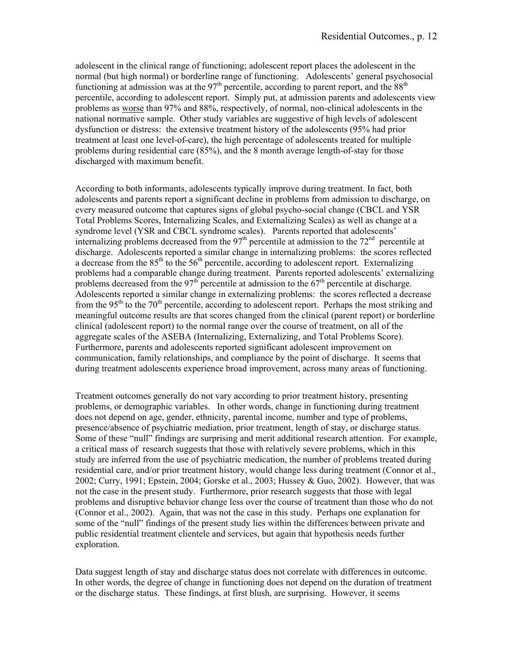adolescent in the clinical range of functioning; adolescent report places the adolescent in the normal (but high normal) or borderline range of functioning. Adolescents' general psychosocial functioning at admission was at the  $97<sup>th</sup>$  percentile, according to parent report, and the  $88<sup>th</sup>$ percentile, according to adolescent report. Simply put, at admission parents and adolescents view problems as worse than 97% and 88%, respectively, of normal, non-clinical adolescents in the national normative sample. Other study variables are suggestive of high levels of adolescent dysfunction or distress: the extensive treatment history of the adolescents (95% had prior treatment at least one level-of-care), the high percentage of adolescents treated for multiple problems during residential care (85%), and the 8 month average length-of-stay for those discharged with maximum benefit.

According to both informants, adolescents typically improve during treatment. In fact, both adolescents and parents report a significant decline in problems from admission to discharge, on every measured outcome that captures signs of global psycho-social change (CBCL and YSR Total Problems Scores, Internalizing Scales, and Externalizing Scales) as well as change at a syndrome level (YSR and CBCL syndrome scales). Parents reported that adolescents' internalizing problems decreased from the  $97<sup>th</sup>$  percentile at admission to the  $72<sup>nd</sup>$  percentile at discharge. Adolescents reported a similar change in internalizing problems: the scores reflected a decrease from the  $85<sup>th</sup>$  to the  $56<sup>th</sup>$  percentile, according to adolescent report. Externalizing problems had a comparable change during treatment. Parents reported adolescents' externalizing problems decreased from the 97<sup>th</sup> percentile at admission to the  $67<sup>th</sup>$  percentile at discharge. Adolescents reported a similar change in externalizing problems: the scores reflected a decrease from the 95<sup>th</sup> to the 70<sup>th</sup> percentile, according to adolescent report. Perhaps the most striking and meaningful outcome results are that scores changed from the clinical (parent report) or borderline clinical (adolescent report) to the normal range over the course of treatment, on all of the aggregate scales of the ASEBA (Internalizing, Externalizing, and Total Problems Score). Furthermore, parents and adolescents reported significant adolescent improvement on communication, family relationships, and compliance by the point of discharge. It seems that during treatment adolescents experience broad improvement, across many areas of functioning.

Treatment outcomes generally do not vary according to prior treatment history, presenting problems, or demographic variables. In other words, change in functioning during treatment does not depend on age, gender, ethnicity, parental income, number and type of problems, presence/absence of psychiatric mediation, prior treatment, length of stay, or discharge status. Some of these "null" findings are surprising and merit additional research attention. For example, a critical mass of research suggests that those with relatively severe problems, which in this study are inferred from the use of psychiatric medication, the number of problems treated during residential care, and/or prior treatment history, would change less during treatment (Connor et al., 2002; Curry, 1991; Epstein, 2004; Gorske et al., 2003; Hussey & Guo, 2002). However, that was not the case in the present study. Furthermore, prior research suggests that those with legal problems and disruptive behavior change less over the course of treatment than those who do not (Connor et al., 2002). Again, that was not the case in this study. Perhaps one explanation for some of the "null" findings of the present study lies within the differences between private and public residential treatment clientele and services, but again that hypothesis needs further exploration.

Data suggest length of stay and discharge status does not correlate with differences in outcome. In other words, the degree of change in functioning does not depend on the duration of treatment or the discharge status. These findings, at first blush, are surprising. However, it seems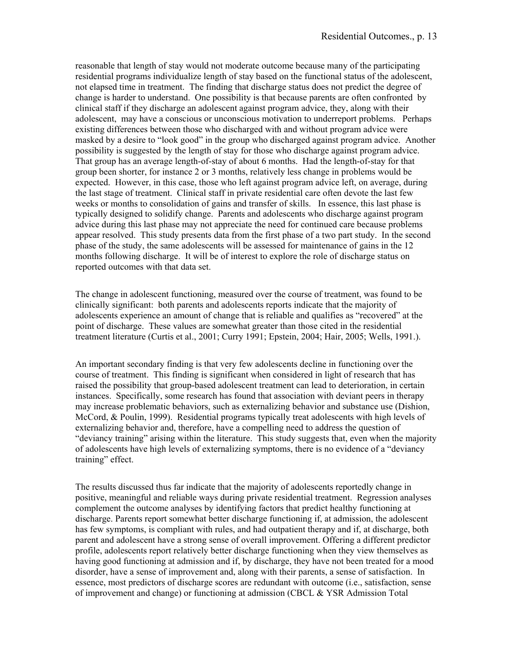reasonable that length of stay would not moderate outcome because many of the participating residential programs individualize length of stay based on the functional status of the adolescent, not elapsed time in treatment. The finding that discharge status does not predict the degree of change is harder to understand. One possibility is that because parents are often confronted by clinical staff if they discharge an adolescent against program advice, they, along with their adolescent, may have a conscious or unconscious motivation to underreport problems. Perhaps existing differences between those who discharged with and without program advice were masked by a desire to "look good" in the group who discharged against program advice. Another possibility is suggested by the length of stay for those who discharge against program advice. That group has an average length-of-stay of about 6 months. Had the length-of-stay for that group been shorter, for instance 2 or 3 months, relatively less change in problems would be expected. However, in this case, those who left against program advice left, on average, during the last stage of treatment. Clinical staff in private residential care often devote the last few weeks or months to consolidation of gains and transfer of skills. In essence, this last phase is typically designed to solidify change. Parents and adolescents who discharge against program advice during this last phase may not appreciate the need for continued care because problems appear resolved. This study presents data from the first phase of a two part study. In the second phase of the study, the same adolescents will be assessed for maintenance of gains in the 12 months following discharge. It will be of interest to explore the role of discharge status on reported outcomes with that data set.

The change in adolescent functioning, measured over the course of treatment, was found to be clinically significant: both parents and adolescents reports indicate that the majority of adolescents experience an amount of change that is reliable and qualifies as "recovered" at the point of discharge. These values are somewhat greater than those cited in the residential treatment literature (Curtis et al., 2001; Curry 1991; Epstein, 2004; Hair, 2005; Wells, 1991.).

An important secondary finding is that very few adolescents decline in functioning over the course of treatment. This finding is significant when considered in light of research that has raised the possibility that group-based adolescent treatment can lead to deterioration, in certain instances. Specifically, some research has found that association with deviant peers in therapy may increase problematic behaviors, such as externalizing behavior and substance use (Dishion, McCord, & Poulin, 1999). Residential programs typically treat adolescents with high levels of externalizing behavior and, therefore, have a compelling need to address the question of "deviancy training" arising within the literature. This study suggests that, even when the majority of adolescents have high levels of externalizing symptoms, there is no evidence of a "deviancy training" effect.

The results discussed thus far indicate that the majority of adolescents reportedly change in positive, meaningful and reliable ways during private residential treatment. Regression analyses complement the outcome analyses by identifying factors that predict healthy functioning at discharge. Parents report somewhat better discharge functioning if, at admission, the adolescent has few symptoms, is compliant with rules, and had outpatient therapy and if, at discharge, both parent and adolescent have a strong sense of overall improvement. Offering a different predictor profile, adolescents report relatively better discharge functioning when they view themselves as having good functioning at admission and if, by discharge, they have not been treated for a mood disorder, have a sense of improvement and, along with their parents, a sense of satisfaction. In essence, most predictors of discharge scores are redundant with outcome (i.e., satisfaction, sense of improvement and change) or functioning at admission (CBCL & YSR Admission Total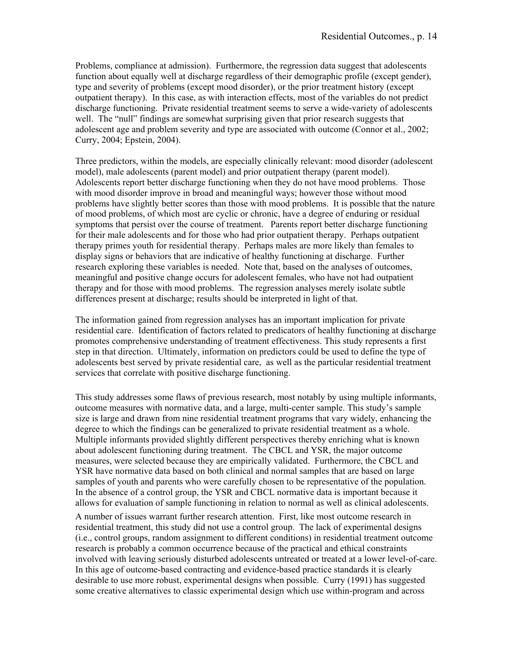Problems, compliance at admission). Furthermore, the regression data suggest that adolescents function about equally well at discharge regardless of their demographic profile (except gender), type and severity of problems (except mood disorder), or the prior treatment history (except outpatient therapy). In this case, as with interaction effects, most of the variables do not predict discharge functioning. Private residential treatment seems to serve a wide-variety of adolescents well. The "null" findings are somewhat surprising given that prior research suggests that adolescent age and problem severity and type are associated with outcome (Connor et al., 2002; Curry, 2004; Epstein, 2004).

Three predictors, within the models, are especially clinically relevant: mood disorder (adolescent model), male adolescents (parent model) and prior outpatient therapy (parent model). Adolescents report better discharge functioning when they do not have mood problems. Those with mood disorder improve in broad and meaningful ways; however those without mood problems have slightly better scores than those with mood problems. It is possible that the nature of mood problems, of which most are cyclic or chronic, have a degree of enduring or residual symptoms that persist over the course of treatment. Parents report better discharge functioning for their male adolescents and for those who had prior outpatient therapy. Perhaps outpatient therapy primes youth for residential therapy. Perhaps males are more likely than females to display signs or behaviors that are indicative of healthy functioning at discharge. Further research exploring these variables is needed. Note that, based on the analyses of outcomes, meaningful and positive change occurs for adolescent females, who have not had outpatient therapy and for those with mood problems. The regression analyses merely isolate subtle differences present at discharge; results should be interpreted in light of that.

The information gained from regression analyses has an important implication for private residential care. Identification of factors related to predicators of healthy functioning at discharge promotes comprehensive understanding of treatment effectiveness. This study represents a first step in that direction. Ultimately, information on predictors could be used to define the type of adolescents best served by private residential care, as well as the particular residential treatment services that correlate with positive discharge functioning.

This study addresses some flaws of previous research, most notably by using multiple informants, outcome measures with normative data, and a large, multi-center sample. This study's sample size is large and drawn from nine residential treatment programs that vary widely, enhancing the degree to which the findings can be generalized to private residential treatment as a whole. Multiple informants provided slightly different perspectives thereby enriching what is known about adolescent functioning during treatment. The CBCL and YSR, the major outcome measures, were selected because they are empirically validated. Furthermore, the CBCL and YSR have normative data based on both clinical and normal samples that are based on large samples of youth and parents who were carefully chosen to be representative of the population. In the absence of a control group, the YSR and CBCL normative data is important because it allows for evaluation of sample functioning in relation to normal as well as clinical adolescents.

A number of issues warrant further research attention. First, like most outcome research in residential treatment, this study did not use a control group. The lack of experimental designs (i.e., control groups, random assignment to different conditions) in residential treatment outcome research is probably a common occurrence because of the practical and ethical constraints involved with leaving seriously disturbed adolescents untreated or treated at a lower level-of-care. In this age of outcome-based contracting and evidence-based practice standards it is clearly desirable to use more robust, experimental designs when possible. Curry (1991) has suggested some creative alternatives to classic experimental design which use within-program and across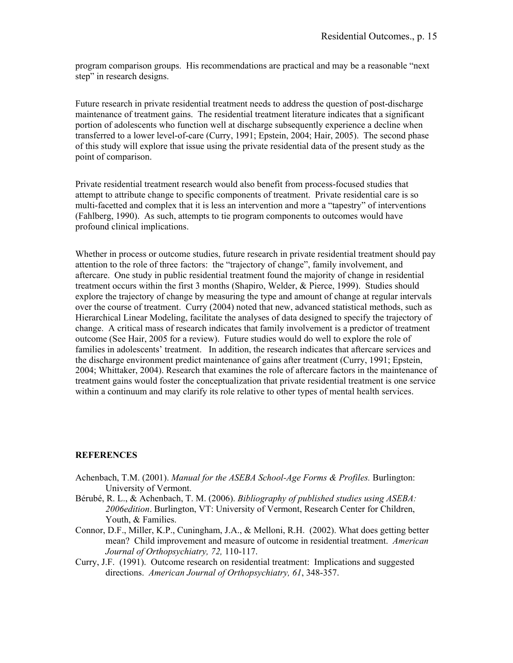program comparison groups. His recommendations are practical and may be a reasonable "next step" in research designs.

Future research in private residential treatment needs to address the question of post-discharge maintenance of treatment gains. The residential treatment literature indicates that a significant portion of adolescents who function well at discharge subsequently experience a decline when transferred to a lower level-of-care (Curry, 1991; Epstein, 2004; Hair, 2005). The second phase of this study will explore that issue using the private residential data of the present study as the point of comparison.

Private residential treatment research would also benefit from process-focused studies that attempt to attribute change to specific components of treatment. Private residential care is so multi-facetted and complex that it is less an intervention and more a "tapestry" of interventions (Fahlberg, 1990). As such, attempts to tie program components to outcomes would have profound clinical implications.

Whether in process or outcome studies, future research in private residential treatment should pay attention to the role of three factors: the "trajectory of change", family involvement, and aftercare. One study in public residential treatment found the majority of change in residential treatment occurs within the first 3 months (Shapiro, Welder, & Pierce, 1999). Studies should explore the trajectory of change by measuring the type and amount of change at regular intervals over the course of treatment. Curry (2004) noted that new, advanced statistical methods, such as Hierarchical Linear Modeling, facilitate the analyses of data designed to specify the trajectory of change. A critical mass of research indicates that family involvement is a predictor of treatment outcome (See Hair, 2005 for a review). Future studies would do well to explore the role of families in adolescents' treatment. In addition, the research indicates that aftercare services and the discharge environment predict maintenance of gains after treatment (Curry, 1991; Epstein, 2004; Whittaker, 2004). Research that examines the role of aftercare factors in the maintenance of treatment gains would foster the conceptualization that private residential treatment is one service within a continuum and may clarify its role relative to other types of mental health services.

### **REFERENCES**

- Achenbach, T.M. (2001). *Manual for the ASEBA School-Age Forms & Profiles.* Burlington: University of Vermont.
- Bérubé, R. L., & Achenbach, T. M. (2006). *Bibliography of published studies using ASEBA: 2006edition*. Burlington, VT: University of Vermont, Research Center for Children, Youth, & Families.
- Connor, D.F., Miller, K.P., Cuningham, J.A., & Melloni, R.H. (2002). What does getting better mean? Child improvement and measure of outcome in residential treatment. *American Journal of Orthopsychiatry, 72,* 110-117.
- Curry, J.F. (1991). Outcome research on residential treatment: Implications and suggested directions. *American Journal of Orthopsychiatry, 61*, 348-357.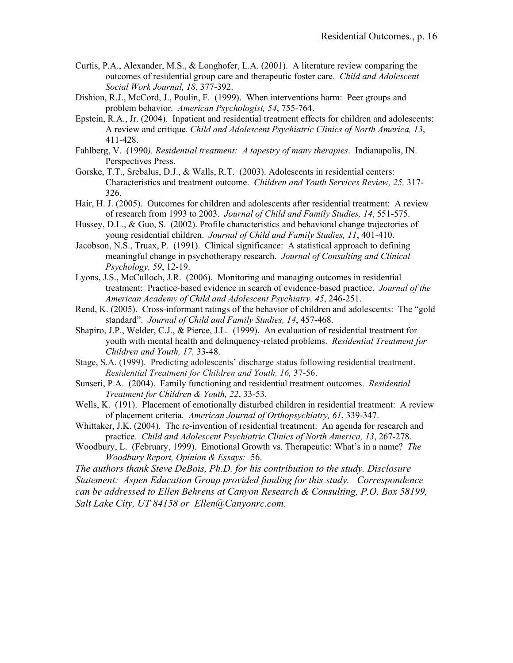- Curtis, P.A., Alexander, M.S., & Longhofer, L.A. (2001). A literature review comparing the outcomes of residential group care and therapeutic foster care. *Child and Adolescent Social Work Journal, 18,* 377-392.
- Dishion, R.J., McCord, J., Poulin, F. (1999). When interventions harm: Peer groups and problem behavior. *American Psychologist, 54*, 755-764.
- Epstein, R.A., Jr. (2004). Inpatient and residential treatment effects for children and adolescents: A review and critique. *Child and Adolescent Psychiatric Clinics of North America, 13*, 411-428.
- Fahlberg, V. (1990*). Residential treatment: A tapestry of many therapies*. Indianapolis, IN. Perspectives Press.
- Gorske, T.T., Srebalus, D.J., & Walls, R.T. (2003). Adolescents in residential centers: Characteristics and treatment outcome. *Children and Youth Services Review, 25,* 317- 326.
- Hair, H. J. (2005). Outcomes for children and adolescents after residential treatment: A review of research from 1993 to 2003. *Journal of Child and Family Studies, 14*, 551-575.
- Hussey, D.L., & Guo, S. (2002). Profile characteristics and behavioral change trajectories of young residential children. *Journal of Child and Family Studies, 11*, 401-410.
- Jacobson, N.S., Truax, P. (1991). Clinical significance: A statistical approach to defining meaningful change in psychotherapy research. *Journal of Consulting and Clinical Psychology, 59*, 12-19.
- Lyons, J.S., McCulloch, J.R. (2006). Monitoring and managing outcomes in residential treatment: Practice-based evidence in search of evidence-based practice. *Journal of the American Academy of Child and Adolescent Psychiatry, 45*, 246-251.
- Rend, K. (2005). Cross-informant ratings of the behavior of children and adolescents: The "gold standard". *Journal of Child and Family Studies, 14*, 457-468.
- Shapiro, J.P., Welder, C.J., & Pierce, J.L. (1999). An evaluation of residential treatment for youth with mental health and delinquency-related problems. *Residential Treatment for Children and Youth, 17,* 33-48.
- Stage, S.A. (1999). Predicting adolescents' discharge status following residential treatment. *Residential Treatment for Children and Youth, 16,* 37-56.
- Sunseri, P.A. (2004). Family functioning and residential treatment outcomes. *Residential Treatment for Children & Youth, 22*, 33-53.
- Wells, K. (191). Placement of emotionally disturbed children in residential treatment: A review of placement criteria. *American Journal of Orthopsychiatry, 61*, 339-347.
- Whittaker, J.K. (2004). The re-invention of residential treatment: An agenda for research and practice. *Child and Adolescent Psychiatric Clinics of North America, 13*, 267-278.
- Woodbury, L. (February, 1999). Emotional Growth vs. Therapeutic: What's in a name? *The Woodbury Report, Opinion & Essays:* 56.

*The authors thank Steve DeBois, Ph.D. for his contribution to the study. Disclosure Statement: Aspen Education Group provided funding for this study. Correspondence can be addressed to Ellen Behrens at Canyon Research & Consulting, P.O. Box 58199, Salt Lake City, UT 84158 or Ellen@Canyonrc.com*.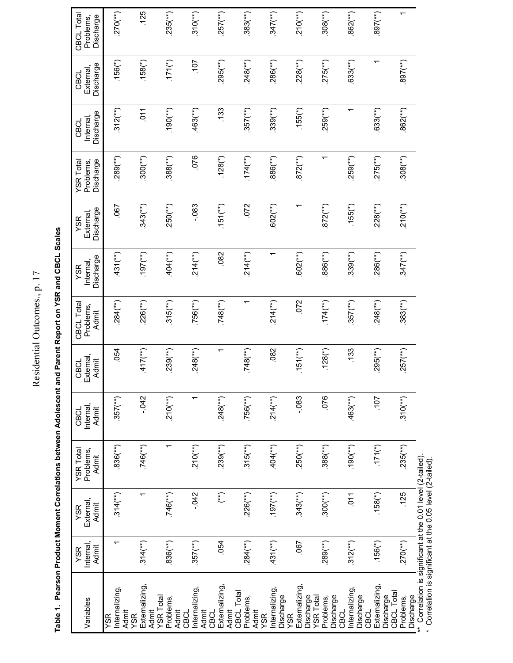Residential Outcomes., p. 17 Residential Outcomes., p. 17

Table 1. Pearson Product Moment Correlations between Adolescent and Parent Report on YSR and CBCL Scales **Table 1. Pearson Product Moment Correlations between Adolescent and Parent Report on YSR and CBCL Scales** 

| Variables                                                                                | Internal,<br>Admit<br>YSR | External<br>Admit<br><b>YSR</b>                 | YSR Total<br>Problems,<br>Admit | Internal<br>Admit<br>CBCL | External<br>Admit<br>CBCL | CBCL Total<br>Problems,<br>Admit | Discharge<br>Internal<br>YSR | Discharge<br>External,<br>YSR | Discharge<br>YSR Total<br>Problems, | Discharge<br>Internal<br>CBCL | Discharge<br>External<br>CBCL | CBCL Total<br>Discharge<br>Problems, |
|------------------------------------------------------------------------------------------|---------------------------|-------------------------------------------------|---------------------------------|---------------------------|---------------------------|----------------------------------|------------------------------|-------------------------------|-------------------------------------|-------------------------------|-------------------------------|--------------------------------------|
| Internalizing,<br>Admit<br>YSR                                                           |                           | $.314$ <sup>(**</sup> )                         | $.836$ <sup>(**</sup> )         | $.357$ <sup>(**)</sup> )  | .054                      | $.284$ <sup>(**)</sup> )         | $.431$ <sup>(**)</sup> )     | .067                          | $.289$ <sup>(**)</sup> )            | $.312$ <sup>(**)</sup> )      | $.156(*)$                     | $.270$ <sup>(**</sup> )              |
| Externalizing,<br>Admit<br>YSR                                                           | $.314$ <sup>(**)</sup> )  |                                                 | $.746$ (**)                     | $-0.042$                  | $.417$ <sup>(**)</sup> )  | $.226$ <sup>(**)</sup> )         | (44)(16)                     | $.343$ <sup>(**</sup> )       | $.300$ (**)                         | 511                           | $.158(*)$                     | .125                                 |
| <b>YSR</b> Total<br>Problems,<br>Admit                                                   | $.836$ <sup>(**</sup> )   | $.746$ (**)                                     |                                 | $.210$ <sup>(**</sup> )   | $239$ <sup>(**)</sup> )   | $.315$ <sup>(**)</sup> )         | $.404$ (**)                  | $.250$ <sup>(**</sup> )       | $.388$ <sup>(**)</sup> )            | $(190(**))$                   | $(171(*)$                     | $235$ <sup>(**)</sup> )              |
| nternalizing,<br>Admit<br>CBCL                                                           | $.357$ <sup>(**)</sup> )  | $-0.42$                                         | $.210$ <sup>(**</sup> )         | ᡪ                         | $.248$ <sup>(**)</sup> )  | $.756$ (**)                      | $.214$ <sup>(**)</sup> )     | $-083$                        | .076                                | $.463$ <sup>(**)</sup>        | 107                           | $.310$ <sup>(**</sup> )              |
| Externalizing,<br>Admit<br>CBCL                                                          | 054                       | $\binom{*}{*}$                                  | $.239$ <sup>(**)</sup> )        | $.248$ <sup>(**</sup> )   | ↽                         | $.748$ (**)                      | .082                         | $.151$ <sup>(**</sup> )       | $.128$ (*)                          | .133                          | $.295$ <sup>(**)</sup> )      | $.257$ <sup>(**)</sup> )             |
| CBCL Total<br>Problems,<br>Admit                                                         | $.284$ <sup>(**)</sup> )  | $.226$ <sup>(**)</sup> )                        | $.315^{(**)}$                   | $.756$ <sup>(**</sup> )   | $.748$ (**)               |                                  | $.214$ <sup>(**)</sup> )     | .072                          | $.174$ <sup>(**)</sup> )            | $357$ <sup>(**)</sup> )       | $.248$ (**)                   | $.383$ <sup>(**</sup> )              |
| Internalizing,<br>Discharge<br>YSR                                                       | $.431$ <sup>(**)</sup> )  | $(44)$ [6]                                      | $.404$ (**)                     | $.214$ <sup>(**</sup> )   | .082                      | $.214$ <sup>(**)</sup> )         | ↽                            | 602(**)                       | $.886$ <sup>(**)</sup> )            | $.339$ <sup>(**)</sup> )      | $.286$ (**)                   | $.347$ <sup>(**</sup> )              |
| Externalizing,<br>Discharge<br>YSR                                                       | .067                      | $.343$ <sup>(**</sup> )                         | $.250$ (**)                     | $-083$                    | $.151$ <sup>(**)</sup> )  | .072                             | $.602$ <sup>(**</sup> )      |                               | $.872$ <sup>(**)</sup> )            | $.155(*)$                     | $.228$ <sup>(**)</sup> )      | $.210$ <sup>(**</sup> )              |
| <b>YSR</b> Total<br>Discharge<br>Problems,                                               | $.289$ <sup>(**)</sup> )  | $.300$ <sup>(**)</sup> )                        | $.388$ <sup>(**</sup> )         | .076                      | $.128$ (*)                | $.174$ <sup>(**)</sup> )         | $.886$ <sup>(**</sup> )      | $872$ <sup>(**</sup> )        |                                     | $.259$ <sup>(**)</sup> )      | $275$ <sup>(**)</sup> )       | $.308$ <sup>(**</sup> )              |
| nternalizing,<br>Discharge<br>CBCL                                                       | $.312$ <sup>(**)</sup> )  | $\overline{0}1$                                 | $(190(**))$                     | $.463$ <sup>**</sup> )    | .133                      | $.357$ <sup>(**)</sup> )         | $.339$ <sup>(**)</sup> )     | $.155$ <sup>(*)</sup>         | $.259$ <sup>(**)</sup> )            | ᠇                             | $.633$ <sup>(**)</sup>        | $.862$ <sup>(**</sup> )              |
| Externalizing,<br>Discharge<br>CBCL                                                      | $.156$ (*)                | $.158(*)$                                       | $(171(*)$                       | 107                       | $.295$ <sup>(**)</sup> )  | $.248$ (**)                      | $.286$ (**)                  | $.228$ <sup>(**</sup> )       | $.275$ <sup>(**)</sup> )            | $.633$ <sup>(**)</sup>        |                               | $(397($ **)                          |
| CBCL Total<br>Discharge<br>Problems,                                                     | $.270$ <sup>(**</sup> )   | .125                                            | $.235$ <sup>(**</sup> )         | $.310$ <sup>(**</sup> )   | $.257$ <sup>(**)</sup> )  | $.383$ <sup>(**)</sup>           | $.347$ <sup>(**</sup> )      | $.210$ <sup>(**</sup> )       | $.308$ <sup>(**</sup> )             | $.862$ <sup>(**</sup> )       | $.897$ <sup>(**</sup> )       | $\overline{\phantom{0}}$             |
| Correlation is significant at the 0.01 level (2-tailed).<br>.<br>Correlation *<br>$\ast$ |                           | (اممالیت) اور امریکا 44 اسم 10 مطلب + C (متابع) |                                 |                           |                           |                                  |                              |                               |                                     |                               |                               |                                      |

Correlation is significant at the 0.05 level (2-tailed). \* Correlation is significant at the 0.05 level (2-tailed).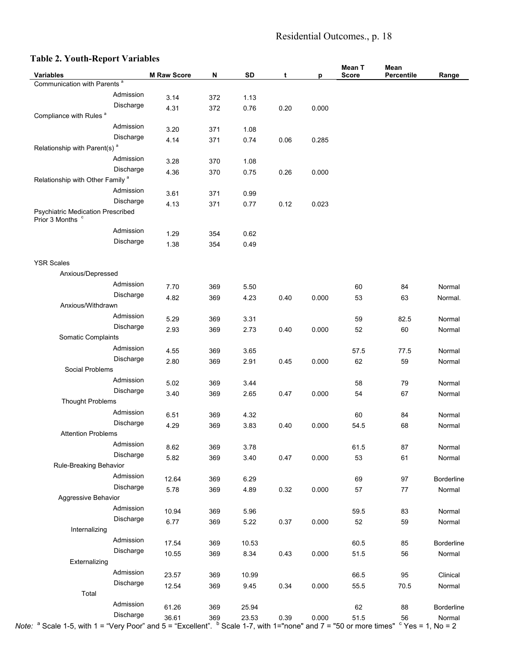# Residential Outcomes., p. 18

# **Table 2. Youth-Report Variables**

| Variables                                                                                                                                                                                                                      | <b>M Raw Score</b> | N   | SD    | t    | p     | Mean T<br><b>Score</b> | Mean<br>Percentile | Range      |
|--------------------------------------------------------------------------------------------------------------------------------------------------------------------------------------------------------------------------------|--------------------|-----|-------|------|-------|------------------------|--------------------|------------|
| Communication with Parents <sup>a</sup>                                                                                                                                                                                        |                    |     |       |      |       |                        |                    |            |
| Admission                                                                                                                                                                                                                      | 3.14               | 372 | 1.13  |      |       |                        |                    |            |
| Discharge                                                                                                                                                                                                                      | 4.31               | 372 | 0.76  | 0.20 | 0.000 |                        |                    |            |
| Compliance with Rules <sup>a</sup>                                                                                                                                                                                             |                    |     |       |      |       |                        |                    |            |
| Admission                                                                                                                                                                                                                      |                    |     |       |      |       |                        |                    |            |
| Discharge                                                                                                                                                                                                                      | 3.20               | 371 | 1.08  |      |       |                        |                    |            |
| Relationship with Parent(s) <sup>a</sup>                                                                                                                                                                                       | 4.14               | 371 | 0.74  | 0.06 | 0.285 |                        |                    |            |
| Admission                                                                                                                                                                                                                      |                    |     |       |      |       |                        |                    |            |
| Discharge                                                                                                                                                                                                                      | 3.28               | 370 | 1.08  |      |       |                        |                    |            |
| Relationship with Other Family <sup>a</sup>                                                                                                                                                                                    | 4.36               | 370 | 0.75  | 0.26 | 0.000 |                        |                    |            |
| Admission                                                                                                                                                                                                                      |                    |     |       |      |       |                        |                    |            |
| Discharge                                                                                                                                                                                                                      | 3.61               | 371 | 0.99  |      |       |                        |                    |            |
| <b>Psychiatric Medication Prescribed</b>                                                                                                                                                                                       | 4.13               | 371 | 0.77  | 0.12 | 0.023 |                        |                    |            |
| Prior 3 Months <sup>c</sup>                                                                                                                                                                                                    |                    |     |       |      |       |                        |                    |            |
| Admission                                                                                                                                                                                                                      |                    |     |       |      |       |                        |                    |            |
| Discharge                                                                                                                                                                                                                      | 1.29               | 354 | 0.62  |      |       |                        |                    |            |
|                                                                                                                                                                                                                                | 1.38               | 354 | 0.49  |      |       |                        |                    |            |
| <b>YSR Scales</b>                                                                                                                                                                                                              |                    |     |       |      |       |                        |                    |            |
| Anxious/Depressed                                                                                                                                                                                                              |                    |     |       |      |       |                        |                    |            |
| Admission                                                                                                                                                                                                                      | 7.70               | 369 | 5.50  |      |       | 60                     | 84                 | Normal     |
| Discharge                                                                                                                                                                                                                      |                    |     |       |      | 0.000 | 53                     | 63                 |            |
| Anxious/Withdrawn                                                                                                                                                                                                              | 4.82               | 369 | 4.23  | 0.40 |       |                        |                    | Normal.    |
| Admission                                                                                                                                                                                                                      |                    | 369 |       |      |       |                        |                    | Normal     |
| Discharge                                                                                                                                                                                                                      | 5.29               |     | 3.31  |      |       | 59                     | 82.5               |            |
| Somatic Complaints                                                                                                                                                                                                             | 2.93               | 369 | 2.73  | 0.40 | 0.000 | 52                     | 60                 | Normal     |
| Admission                                                                                                                                                                                                                      |                    |     |       |      |       |                        |                    |            |
| Discharge                                                                                                                                                                                                                      | 4.55               | 369 | 3.65  |      |       | 57.5                   | 77.5               | Normal     |
| Social Problems                                                                                                                                                                                                                | 2.80               | 369 | 2.91  | 0.45 | 0.000 | 62                     | 59                 | Normal     |
| Admission                                                                                                                                                                                                                      |                    |     |       |      |       |                        |                    |            |
| Discharge                                                                                                                                                                                                                      | 5.02               | 369 | 3.44  |      |       | 58                     | 79                 | Normal     |
| <b>Thought Problems</b>                                                                                                                                                                                                        | 3.40               | 369 | 2.65  | 0.47 | 0.000 | 54                     | 67                 | Normal     |
| Admission                                                                                                                                                                                                                      |                    |     |       |      |       |                        |                    |            |
| Discharge                                                                                                                                                                                                                      | 6.51               | 369 | 4.32  |      |       | 60                     | 84                 | Normal     |
| <b>Attention Problems</b>                                                                                                                                                                                                      | 4.29               | 369 | 3.83  | 0.40 | 0.000 | 54.5                   | 68                 | Normal     |
| Admission                                                                                                                                                                                                                      |                    |     |       |      |       |                        |                    |            |
|                                                                                                                                                                                                                                | 8.62               | 369 | 3.78  |      |       | 61.5                   | 87                 | Normal     |
| Discharge<br>Rule-Breaking Behavior                                                                                                                                                                                            | 5.82               | 369 | 3.40  | 0.47 | 0.000 | 53                     | 61                 | Normal     |
| Admission                                                                                                                                                                                                                      |                    |     |       |      |       |                        |                    |            |
| Discharge                                                                                                                                                                                                                      | 12.64              | 369 | 6.29  |      |       | 69                     | 97                 | Borderline |
|                                                                                                                                                                                                                                | 5.78               | 369 | 4.89  | 0.32 | 0.000 | 57                     | $77 \,$            | Normal     |
| Aggressive Behavior                                                                                                                                                                                                            |                    |     |       |      |       |                        |                    |            |
| Admission                                                                                                                                                                                                                      | 10.94              | 369 | 5.96  |      |       | 59.5                   | 83                 | Normal     |
| Discharge                                                                                                                                                                                                                      | 6.77               | 369 | 5.22  | 0.37 | 0.000 | 52                     | 59                 | Normal     |
| Internalizing                                                                                                                                                                                                                  |                    |     |       |      |       |                        |                    |            |
| Admission                                                                                                                                                                                                                      | 17.54              | 369 | 10.53 |      |       | 60.5                   | 85                 | Borderline |
| Discharge                                                                                                                                                                                                                      | 10.55              | 369 | 8.34  | 0.43 | 0.000 | 51.5                   | 56                 | Normal     |
| Externalizing                                                                                                                                                                                                                  |                    |     |       |      |       |                        |                    |            |
| Admission                                                                                                                                                                                                                      | 23.57              | 369 | 10.99 |      |       | 66.5                   | 95                 | Clinical   |
| Discharge                                                                                                                                                                                                                      | 12.54              | 369 | 9.45  | 0.34 | 0.000 | 55.5                   | 70.5               | Normal     |
| Total                                                                                                                                                                                                                          |                    |     |       |      |       |                        |                    |            |
| Admission                                                                                                                                                                                                                      | 61.26              | 369 | 25.94 |      |       | 62                     | 88                 | Borderline |
| Discharge<br>Discharge 36.61 369 23.53 0.39 0.000 51.5 56 Norma<br>2 Note: <sup>a</sup> Scale 1-5, with 1= "Very Poor" and 5 = "Excellent". <sup>b</sup> Scale 1-7, with 1="none" and 7 = "50 or more times" ° Yes = 1, No = 2 |                    |     |       |      |       |                        |                    | Normal     |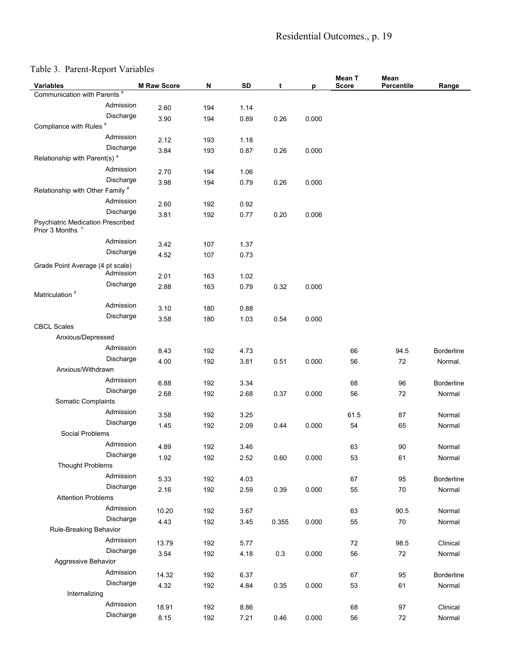# Residential Outcomes., p. 19

# Table 3. Parent-Report Variables

| $10010$ $3.101$ cm, $100$ $010$ $1001$ $00$<br><b>Variables</b>         | <b>M Raw Score</b> | N   | <b>SD</b> | t     | р     | Mean T<br><b>Score</b> | Mean<br>Percentile | Range             |
|-------------------------------------------------------------------------|--------------------|-----|-----------|-------|-------|------------------------|--------------------|-------------------|
| Communication with Parents <sup>a</sup>                                 |                    |     |           |       |       |                        |                    |                   |
| Admission                                                               | 2.60               | 194 | 1.14      |       |       |                        |                    |                   |
| Discharge                                                               | 3.90               | 194 | 0.89      | 0.26  | 0.000 |                        |                    |                   |
| Compliance with Rules <sup>a</sup>                                      |                    |     |           |       |       |                        |                    |                   |
| Admission                                                               | 2.12               | 193 | 1.18      |       |       |                        |                    |                   |
| Discharge                                                               | 3.84               | 193 | 0.87      | 0.26  | 0.000 |                        |                    |                   |
| Relationship with Parent(s) <sup>a</sup>                                |                    |     |           |       |       |                        |                    |                   |
| Admission                                                               | 2.70               | 194 | 1.06      |       |       |                        |                    |                   |
| Discharge                                                               | 3.98               | 194 | 0.79      | 0.26  | 0.000 |                        |                    |                   |
| Relationship with Other Family <sup>a</sup>                             |                    |     |           |       |       |                        |                    |                   |
| Admission                                                               | 2.60               | 192 | 0.92      |       |       |                        |                    |                   |
| Discharge                                                               | 3.81               | 192 | 0.77      | 0.20  | 0.006 |                        |                    |                   |
| <b>Psychiatric Medication Prescribed</b><br>Prior 3 Months <sup>c</sup> |                    |     |           |       |       |                        |                    |                   |
| Admission                                                               |                    |     |           |       |       |                        |                    |                   |
| Discharge                                                               | 3.42               | 107 | 1.37      |       |       |                        |                    |                   |
|                                                                         | 4.52               | 107 | 0.73      |       |       |                        |                    |                   |
| Grade Point Average (4 pt scale)<br>Admission                           |                    |     |           |       |       |                        |                    |                   |
| Discharge                                                               | 2.01               | 163 | 1.02      |       |       |                        |                    |                   |
| Matriculation <sup>d</sup>                                              | 2.88               | 163 | 0.79      | 0.32  | 0.000 |                        |                    |                   |
| Admission                                                               | 3.10               | 180 | 0.88      |       |       |                        |                    |                   |
| Discharge                                                               | 3.58               | 180 | 1.03      | 0.54  | 0.000 |                        |                    |                   |
| <b>CBCL Scales</b>                                                      |                    |     |           |       |       |                        |                    |                   |
| Anxious/Depressed                                                       |                    |     |           |       |       |                        |                    |                   |
| Admission                                                               | 8.43               | 192 | 4.73      |       |       | 66                     | 94.5               | <b>Borderline</b> |
| Discharge                                                               | 4.00               | 192 | 3.81      | 0.51  | 0.000 | 56                     | 72                 | Normal.           |
| Anxious/Withdrawn                                                       |                    |     |           |       |       |                        |                    |                   |
| Admission                                                               | 6.88               | 192 | 3.34      |       |       | 68                     | 96                 | <b>Borderline</b> |
| Discharge                                                               | 2.68               | 192 | 2.68      | 0.37  | 0.000 | 56                     | 72                 | Normal            |
| Somatic Complaints                                                      |                    |     |           |       |       |                        |                    |                   |
| Admission                                                               | 3.58               | 192 | 3.25      |       |       | 61.5                   | 87                 | Normal            |
| Discharge                                                               | 1.45               | 192 | 2.09      | 0.44  | 0.000 | 54                     | 65                 | Normal            |
| Social Problems                                                         |                    |     |           |       |       |                        |                    |                   |
| Admission                                                               | 4.89               | 192 | 3.46      |       |       | 63                     | 90                 | Normal            |
| Discharge                                                               | 1.92               | 192 | 2.52      | 0.60  | 0.000 | 53                     | 61                 | Normal            |
| <b>Thought Problems</b>                                                 |                    |     |           |       |       |                        |                    |                   |
| Admission                                                               | 5.33               | 192 | 4.03      |       |       | 67                     | 95                 | Borderline        |
| Discharge                                                               | 2.16               | 192 | 2.59      | 0.39  | 0.000 | 55                     | 70                 | Normal            |
| <b>Attention Problems</b>                                               |                    |     |           |       |       |                        |                    |                   |
| Admission                                                               | 10.20              | 192 | 3.67      |       |       | 63                     | 90.5               | Normal            |
| Discharge                                                               | 4.43               | 192 | 3.45      | 0.355 | 0.000 | 55                     | $70$               | Normal            |
| Rule-Breaking Behavior                                                  |                    |     |           |       |       |                        |                    |                   |
| Admission                                                               | 13.79              | 192 | 5.77      |       |       | $72\,$                 | 98.5               | Clinical          |
| Discharge                                                               | 3.54               | 192 | 4.18      | 0.3   | 0.000 | 56                     | 72                 | Normal            |
| Aggressive Behavior                                                     |                    |     |           |       |       |                        |                    |                   |
| Admission                                                               | 14.32              | 192 | 6.37      |       |       | 67                     | 95                 | Borderline        |
| Discharge                                                               | 4.32               | 192 | 4.84      | 0.35  | 0.000 | 53                     | 61                 | Normal            |
| Internalizing                                                           |                    |     |           |       |       |                        |                    |                   |
| Admission                                                               |                    |     |           |       |       |                        |                    |                   |
| Discharge                                                               | 18.91              | 192 | 8.86      |       |       | 68                     | 97                 | Clinical          |
|                                                                         | 8.15               | 192 | 7.21      | 0.46  | 0.000 | 56                     | 72                 | Normal            |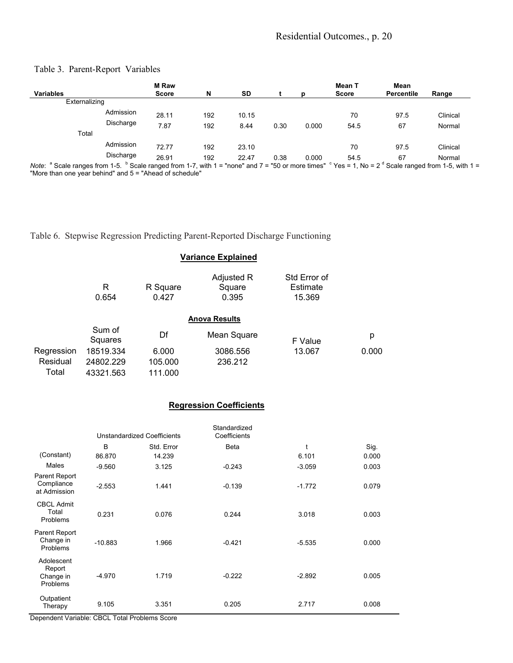# Residential Outcomes., p. 20

# Table 3. Parent-Report Variables

|                                                                                                                                                                |           | <b>M</b> Raw |     |           |      |       | Mean T       | Mean              |          |
|----------------------------------------------------------------------------------------------------------------------------------------------------------------|-----------|--------------|-----|-----------|------|-------|--------------|-------------------|----------|
| <b>Variables</b>                                                                                                                                               |           | <b>Score</b> | N   | <b>SD</b> |      |       | <b>Score</b> | <b>Percentile</b> | Range    |
| Externalizing                                                                                                                                                  |           |              |     |           |      |       |              |                   |          |
|                                                                                                                                                                | Admission | 28.11        | 192 | 10.15     |      |       | 70           | 97.5              | Clinical |
|                                                                                                                                                                | Discharge | 7.87         | 192 | 8.44      | 0.30 | 0.000 | 54.5         | 67                | Normal   |
| Total                                                                                                                                                          |           |              |     |           |      |       |              |                   |          |
|                                                                                                                                                                | Admission | 72.77        | 192 | 23.10     |      |       | 70           | 97.5              | Clinical |
|                                                                                                                                                                | Discharge | 26.91        | 192 | 22.47     | 0.38 | 0.000 | 54.5         | 67                | Normal   |
| Note: $a$ Scale ranges from 1-5. $b$ Scale ranged from 1-7, with 1 = "none" and 7 = "50 or more times" $c$ Yes = 1, No = 2 $a$ Scale ranged from 1-5, with 1 = |           |              |     |           |      |       |              |                   |          |

 Scale ranged from 1-5, with 1 = "More than one year behind" and 5 = "Ahead of schedule"

Table 6. Stepwise Regression Predicting Parent-Reported Discharge Functioning

# **Variance Explained**

|            | R<br>0.654        | R Square<br>0.427 | Adjusted R<br>Square<br>0.395 | Std Error of<br><b>Estimate</b><br>15.369 |       |
|------------|-------------------|-------------------|-------------------------------|-------------------------------------------|-------|
|            |                   |                   | <b>Anova Results</b>          |                                           |       |
|            | Sum of<br>Squares | Df                | Mean Square                   | F Value                                   | р     |
| Regression | 18519.334         | 6.000             | 3086.556                      | 13.067                                    | 0.000 |
| Residual   | 24802.229         | 105.000           | 236.212                       |                                           |       |
| Total      | 43321.563         | 111.000           |                               |                                           |       |

# **Regression Coefficients**

|                                               |           | <b>Unstandardized Coefficients</b> | Standardized<br>Coefficients |          |       |
|-----------------------------------------------|-----------|------------------------------------|------------------------------|----------|-------|
|                                               | B         | Std. Error                         | <b>Beta</b>                  | t        | Sig.  |
| (Constant)                                    | 86.870    | 14.239                             |                              | 6.101    | 0.000 |
| Males                                         | $-9.560$  | 3.125                              | $-0.243$                     | $-3.059$ | 0.003 |
| Parent Report<br>Compliance<br>at Admission   | $-2.553$  | 1.441                              | $-0.139$                     | $-1.772$ | 0.079 |
| <b>CBCL Admit</b><br>Total<br>Problems        | 0.231     | 0.076                              | 0.244                        | 3.018    | 0.003 |
| Parent Report<br>Change in<br>Problems        | $-10.883$ | 1.966                              | $-0.421$                     | $-5.535$ | 0.000 |
| Adolescent<br>Report<br>Change in<br>Problems | $-4.970$  | 1.719                              | $-0.222$                     | $-2.892$ | 0.005 |
| Outpatient<br>Therapy                         | 9.105     | 3.351                              | 0.205                        | 2.717    | 0.008 |

Dependent Variable: CBCL Total Problems Score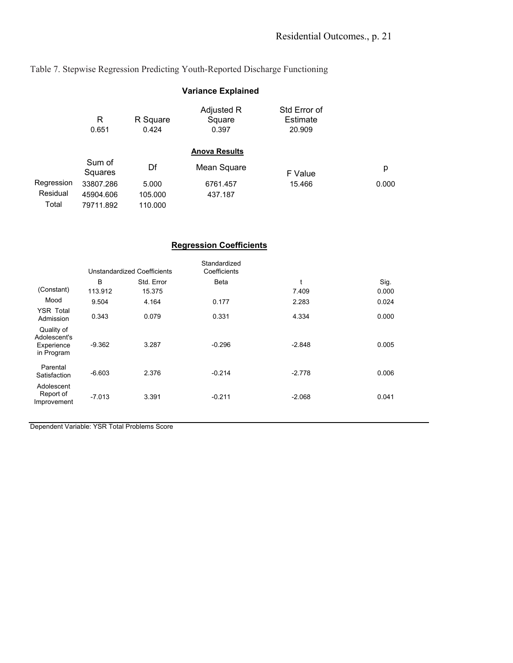Table 7. Stepwise Regression Predicting Youth-Reported Discharge Functioning

|            |                   |                   | <b>Variance Explained</b>     |                                    |       |
|------------|-------------------|-------------------|-------------------------------|------------------------------------|-------|
|            | R<br>0.651        | R Square<br>0.424 | Adjusted R<br>Square<br>0.397 | Std Error of<br>Estimate<br>20.909 |       |
|            |                   |                   | <b>Anova Results</b>          |                                    |       |
|            | Sum of<br>Squares | Df                | Mean Square                   | F Value                            | р     |
| Regression | 33807.286         | 5.000             | 6761.457                      | 15.466                             | 0.000 |
| Residual   | 45904.606         | 105.000           | 437.187                       |                                    |       |
| Total      | 79711.892         | 110.000           |                               |                                    |       |

# **Regression Coefficients**

|                                                        |          | Unstandardized Coefficients | Standardized<br>Coefficients |          |       |
|--------------------------------------------------------|----------|-----------------------------|------------------------------|----------|-------|
|                                                        | B        | Std. Error                  | <b>Beta</b>                  | t        | Sig.  |
| (Constant)                                             | 113.912  | 15.375                      |                              | 7.409    | 0.000 |
| Mood                                                   | 9.504    | 4.164                       | 0.177                        | 2.283    | 0.024 |
| <b>YSR Total</b><br>Admission                          | 0.343    | 0.079                       | 0.331                        | 4.334    | 0.000 |
| Quality of<br>Adolescent's<br>Experience<br>in Program | $-9.362$ | 3.287                       | $-0.296$                     | $-2.848$ | 0.005 |
| Parental<br>Satisfaction                               | $-6.603$ | 2.376                       | $-0.214$                     | $-2.778$ | 0.006 |
| Adolescent<br>Report of<br>Improvement                 | $-7.013$ | 3.391                       | $-0.211$                     | $-2.068$ | 0.041 |

Dependent Variable: YSR Total Problems Score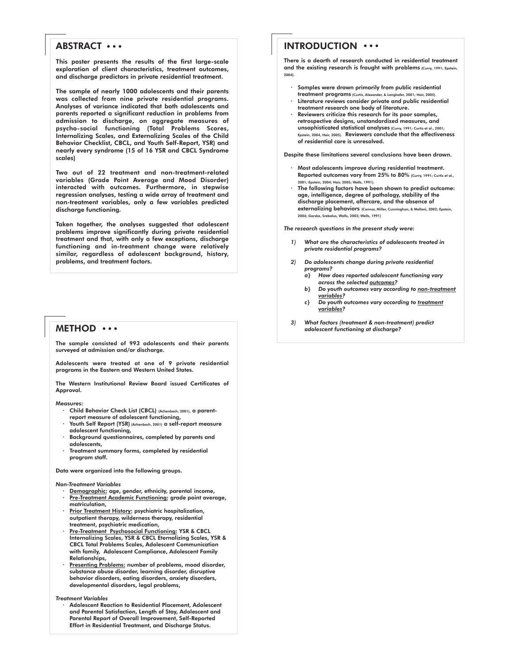# ABSTRACT ...

This poster presents the results of the first large-scale exploration of client characteristics, treatment outcomes, and discharge predictors in private residential treatment.

The sample of nearly 1000 adolescents and their parents was collected from nine private residential programs. Analyses of variance indicated that both adolescents and parents reported a significant reduction in problems from admission to discharge, on aggregate measures of psycho-social functioning (Total Problems Scores, Internalizing Scales, and Externalizing Scales of the Child Behavior Checklist, CBCL, and Youth Self-Report, YSR) and nearly every syndrome (15 of 16 YSR and CBCL Syndrome scales)

Two out of 22 treatment and non-treatment-related variables (Grade Point Average and Mood Disorder) interacted with outcomes. Furthermore, in stepwise regression analyses, testing a wide array of treatment and non-treatment variables, only a few variables predicted discharge functioning.

Taken together, the analyses suggested that adolescent problems improve significantly during private residential treatment and that, with only a few exceptions, discharge functioning and in-treatment change were relatively similar, regardless of adolescent background, history, problems, and treatment factors.

## METHOD  $\cdots$

The sample consisted of 993 adolescents and their parents surveyed at admission and/or discharge.

Adolescents were treated at one of 9 private residential programs in the Eastern and Western United States.

The Western Institutional Review Board issued Certificates of Approval.

Measures:

- · Child Behavior Check List (CBCL) (Achenbach, 2001), a parentreport measure of adolescent functioning,
- Youth Self Report (YSR) (Achenbach, 2001) a self-report measure adolescent functioning,
- Background questionnaires, completed by parents and adolescents,
- Treatment summary forms, completed by residential program staff.

Data were organized into the following groups.

#### *Non-Treatment Variables*

- Demographic: age, gender, ethnicity, parental income, Pre-Treatment Academic Functioning: grade point average, matriculation,
- Prior Treatment History: psychiatric hospitalization, outpatient therapy, wilderness therapy, residential treatment, psychiatric medication,
- Pre-Treatment Psychosocial Functioning: YSR & CBCL Internalizing Scales, YSR & CBCL Eternalizing Scales, YSR & CBCL Total Problems Scales, Adolescent Communication with family, Adolescent Compliance, Adolescent Family Relationships,
- Presenting Problems: number of problems, mood disorder, substance abuse disorder, learning disorder, disruptive behavior disorders, eating disorders, anxiety disorders, developmental disorders, legal problems,

*Treatment Variables*

Adolescent Reaction to Residential Placement, Adolescent and Parental Satisfaction, Length of Stay, Adolescent and Parental Report of Overall Improvement, Self-Reported Effort in Residential Treatment, and Discharge Status.

# INTRODUCTION ...

There is a dearth of research conducted in residential treatment and the existing research is fraught with problems (Curry, 1991; Epstein, 2004).

- Samples were drawn primarily from public residential treatment programs (Curtis, Alexander, & Longhofer, 2001; Hair, 2005)
- Literature reviews consider private and public residential treatment research one body of literature.
- Reviewers criticize this research for its poor samples, retrospective designs, unstandardized measures, and unsophisticated statistical analyses (Curry, 1991; Curtis et al., 2001; Epstein, 2004, Hair, 2005). Reviewers conclude that the effectiveness of residential care is unresolved.

Despite these limitations several conclusions have been drawn.

- Most adolescents improve during residential treatment. Reported outcomes vary from 25% to 80% (Curry, 1991; Curtis et al., 2001; Epstein, 2004; Hair, 2005; Wells, 1991).
- The following factors have been shown to predict outcome: age, intelligence, degree of pathology, stability of the discharge placement, aftercare, and the absence of externalizing behaviors (Connor, Miller, Cunninghan, & Melloni, 2002; Epstein, 2004; Gorske, Srebalus, Walls, 2003; Wells, 1991)

*The research questions in the present study were:*

- *1) What are the characteristics of adolescents treated in private residential programs?*
- *2) Do adolescents change during private residential programs?*
	- *a} How does reported adolescent functioning vary across the selected outcomes?*
	- *b} Do youth outcomes vary according to non-treatment variables?*
	- *c} Do youth outcomes vary according to treatment variables?*
- *3) What factors (treatment & non-treatment) predict adolescent functioning at discharge?*